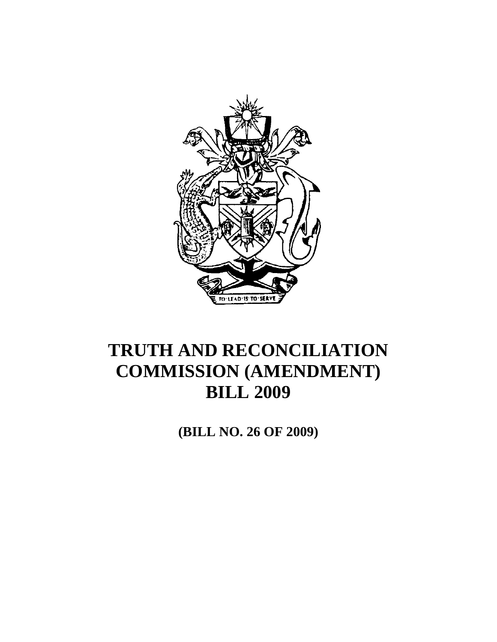

**(BILL NO. 26 OF 2009)**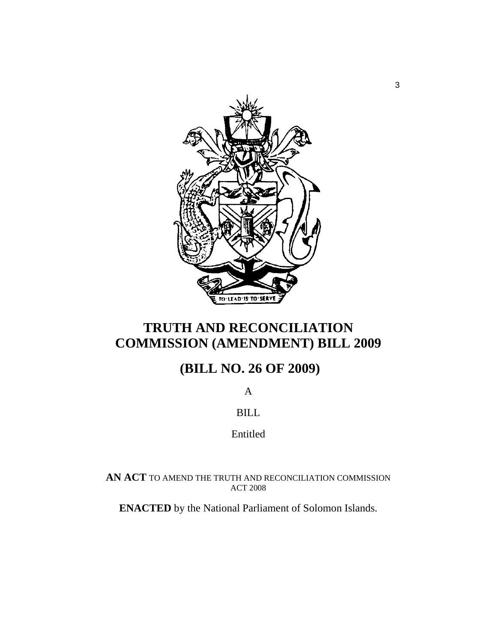

### **(BILL NO. 26 OF 2009)**

A

BILL

Entitled

**AN ACT** TO AMEND THE TRUTH AND RECONCILIATION COMMISSION ACT 2008

**ENACTED** by the National Parliament of Solomon Islands.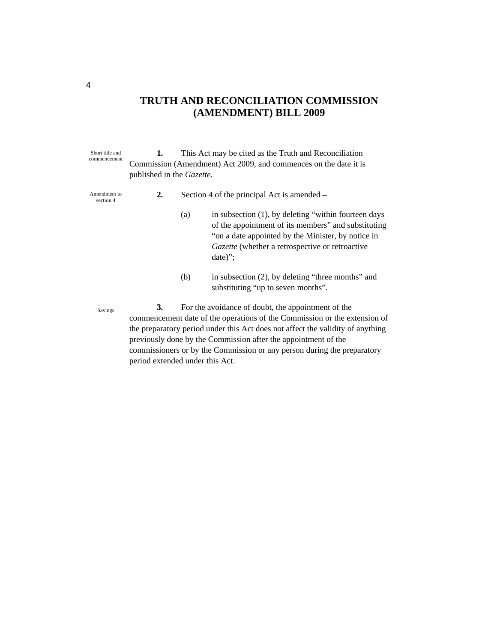| Short title and<br>commencement | 1.                                                                                                                                                                                                                                                                                                                                                                                                      | This Act may be cited as the Truth and Reconciliation |                                                                                                                                                                                                                                       |  |
|---------------------------------|---------------------------------------------------------------------------------------------------------------------------------------------------------------------------------------------------------------------------------------------------------------------------------------------------------------------------------------------------------------------------------------------------------|-------------------------------------------------------|---------------------------------------------------------------------------------------------------------------------------------------------------------------------------------------------------------------------------------------|--|
|                                 | Commission (Amendment) Act 2009, and commences on the date it is                                                                                                                                                                                                                                                                                                                                        |                                                       |                                                                                                                                                                                                                                       |  |
|                                 | published in the Gazette.                                                                                                                                                                                                                                                                                                                                                                               |                                                       |                                                                                                                                                                                                                                       |  |
| Amendment to<br>section 4       | 2.                                                                                                                                                                                                                                                                                                                                                                                                      |                                                       | Section 4 of the principal Act is amended –                                                                                                                                                                                           |  |
|                                 |                                                                                                                                                                                                                                                                                                                                                                                                         | (a)                                                   | in subsection $(1)$ , by deleting "within fourteen days<br>of the appointment of its members" and substituting<br>"on a date appointed by the Minister, by notice in<br>Gazette (whether a retrospective or retroactive<br>$date)$ "; |  |
|                                 |                                                                                                                                                                                                                                                                                                                                                                                                         | (b)                                                   | in subsection (2), by deleting "three months" and<br>substituting "up to seven months".                                                                                                                                               |  |
| Savings                         | 3.<br>For the avoidance of doubt, the appointment of the<br>commencement date of the operations of the Commission or the extension of<br>the preparatory period under this Act does not affect the validity of anything<br>previously done by the Commission after the appointment of the<br>commissioners or by the Commission or any person during the preparatory<br>period extended under this Act. |                                                       |                                                                                                                                                                                                                                       |  |

4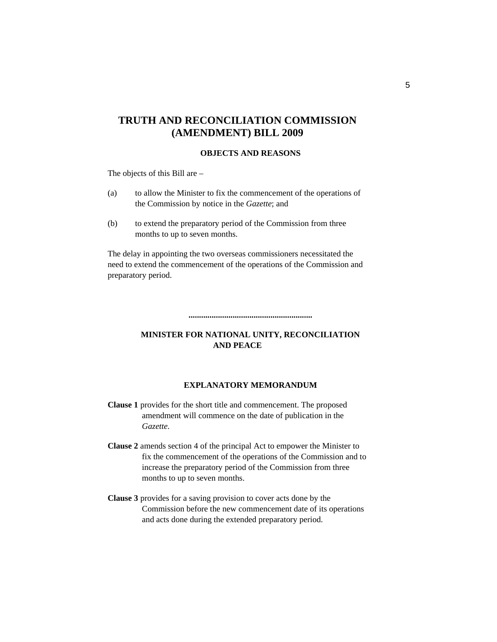#### **OBJECTS AND REASONS**

The objects of this Bill are –

- (a) to allow the Minister to fix the commencement of the operations of the Commission by notice in the *Gazette*; and
- (b) to extend the preparatory period of the Commission from three months to up to seven months.

The delay in appointing the two overseas commissioners necessitated the need to extend the commencement of the operations of the Commission and preparatory period.

#### **MINISTER FOR NATIONAL UNITY, RECONCILIATION AND PEACE**

**...........................................................** 

#### **EXPLANATORY MEMORANDUM**

**Clause 1** provides for the short title and commencement. The proposed amendment will commence on the date of publication in the *Gazette*.

- **Clause 2** amends section 4 of the principal Act to empower the Minister to fix the commencement of the operations of the Commission and to increase the preparatory period of the Commission from three months to up to seven months.
- **Clause 3** provides for a saving provision to cover acts done by the Commission before the new commencement date of its operations and acts done during the extended preparatory period.